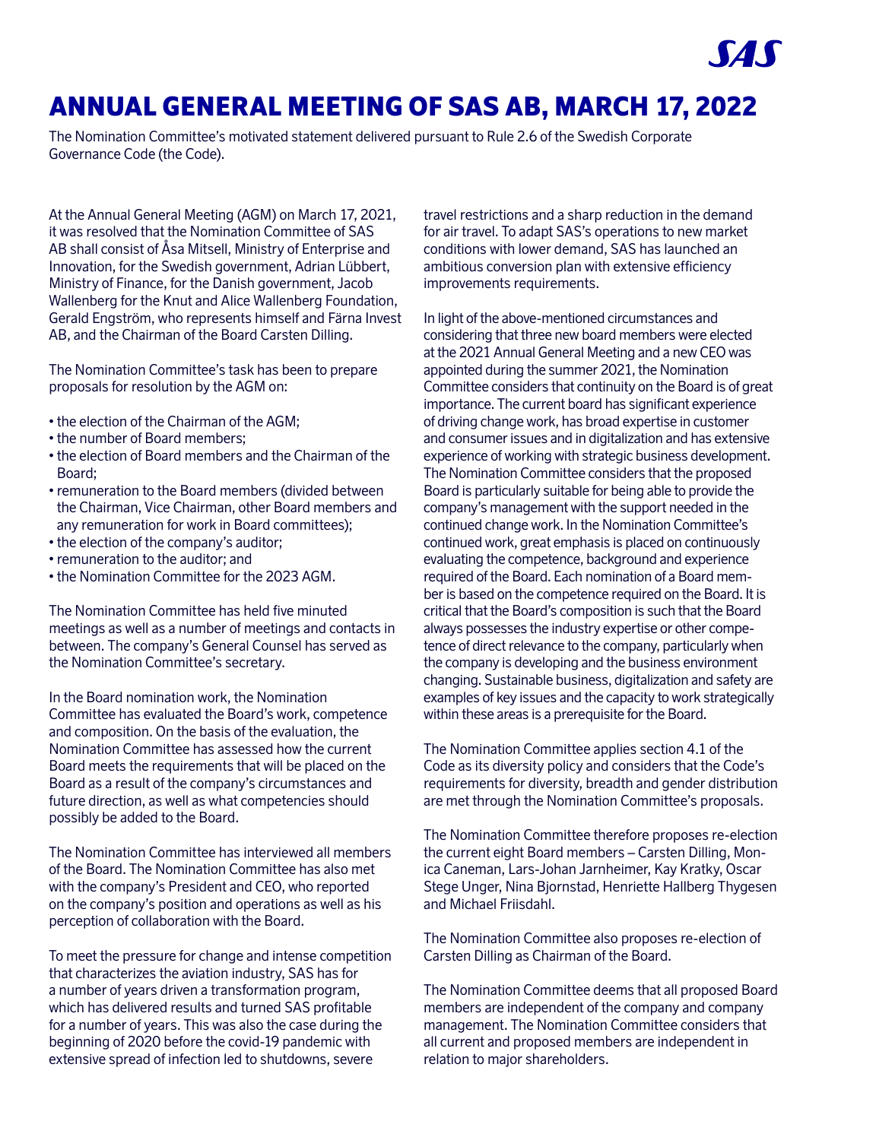# ANNUAL GENERAL MEETING OF SAS AB, MARCH 17, 2022

The Nomination Committee's motivated statement delivered pursuant to Rule 2.6 of the Swedish Corporate Governance Code (the Code).

At the Annual General Meeting (AGM) on March 17, 2021, it was resolved that the Nomination Committee of SAS AB shall consist of Åsa Mitsell, Ministry of Enterprise and Innovation, for the Swedish government, Adrian Lübbert, Ministry of Finance, for the Danish government, Jacob Wallenberg for the Knut and Alice Wallenberg Foundation, Gerald Engström, who represents himself and Färna Invest AB, and the Chairman of the Board Carsten Dilling.

The Nomination Committee's task has been to prepare proposals for resolution by the AGM on:

- the election of the Chairman of the AGM;
- the number of Board members;
- the election of Board members and the Chairman of the Board;
- remuneration to the Board members (divided between the Chairman, Vice Chairman, other Board members and any remuneration for work in Board committees);
- the election of the company's auditor;
- remuneration to the auditor; and
- the Nomination Committee for the 2023 AGM.

The Nomination Committee has held five minuted meetings as well as a number of meetings and contacts in between. The company's General Counsel has served as the Nomination Committee's secretary.

In the Board nomination work, the Nomination Committee has evaluated the Board's work, competence and composition. On the basis of the evaluation, the Nomination Committee has assessed how the current Board meets the requirements that will be placed on the Board as a result of the company's circumstances and future direction, as well as what competencies should possibly be added to the Board.

The Nomination Committee has interviewed all members of the Board. The Nomination Committee has also met with the company's President and CEO, who reported on the company's position and operations as well as his perception of collaboration with the Board.

To meet the pressure for change and intense competition that characterizes the aviation industry, SAS has for a number of years driven a transformation program, which has delivered results and turned SAS profitable for a number of years. This was also the case during the beginning of 2020 before the covid-19 pandemic with extensive spread of infection led to shutdowns, severe

travel restrictions and a sharp reduction in the demand for air travel. To adapt SAS's operations to new market conditions with lower demand, SAS has launched an ambitious conversion plan with extensive efficiency improvements requirements.

In light of the above-mentioned circumstances and considering that three new board members were elected at the 2021 Annual General Meeting and a new CEO was appointed during the summer 2021, the Nomination Committee considers that continuity on the Board is of great importance. The current board has significant experience of driving change work, has broad expertise in customer and consumer issues and in digitalization and has extensive experience of working with strategic business development. The Nomination Committee considers that the proposed Board is particularly suitable for being able to provide the company's management with the support needed in the continued change work. In the Nomination Committee's continued work, great emphasis is placed on continuously evaluating the competence, background and experience required of the Board. Each nomination of a Board member is based on the competence required on the Board. It is critical that the Board's composition is such that the Board always possesses the industry expertise or other competence of direct relevance to the company, particularly when the company is developing and the business environment changing. Sustainable business, digitalization and safety are examples of key issues and the capacity to work strategically within these areas is a prerequisite for the Board.

The Nomination Committee applies section 4.1 of the Code as its diversity policy and considers that the Code's requirements for diversity, breadth and gender distribution are met through the Nomination Committee's proposals.

The Nomination Committee therefore proposes re-election the current eight Board members – Carsten Dilling, Monica Caneman, Lars-Johan Jarnheimer, Kay Kratky, Oscar Stege Unger, Nina Bjornstad, Henriette Hallberg Thygesen and Michael Friisdahl.

The Nomination Committee also proposes re-election of Carsten Dilling as Chairman of the Board.

The Nomination Committee deems that all proposed Board members are independent of the company and company management. The Nomination Committee considers that all current and proposed members are independent in relation to major shareholders.